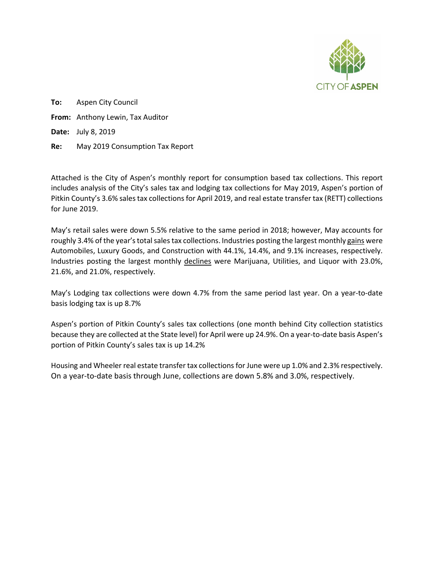

**To:** Aspen City Council **From:** Anthony Lewin, Tax Auditor **Date:** July 8, 2019 **Re:** May 2019 Consumption Tax Report

Attached is the City of Aspen's monthly report for consumption based tax collections. This report includes analysis of the City's sales tax and lodging tax collections for May 2019, Aspen's portion of Pitkin County's 3.6% sales tax collections for April 2019, and real estate transfer tax (RETT) collections for June 2019.

May's retail sales were down 5.5% relative to the same period in 2018; however, May accounts for roughly 3.4% of the year's total sales tax collections. Industries posting the largest monthly gains were Automobiles, Luxury Goods, and Construction with 44.1%, 14.4%, and 9.1% increases, respectively. Industries posting the largest monthly declines were Marijuana, Utilities, and Liquor with 23.0%, 21.6%, and 21.0%, respectively.

May's Lodging tax collections were down 4.7% from the same period last year. On a year-to-date basis lodging tax is up 8.7%

Aspen's portion of Pitkin County's sales tax collections (one month behind City collection statistics because they are collected at the State level) for April were up 24.9%. On a year-to-date basis Aspen's portion of Pitkin County's sales tax is up 14.2%

Housing and Wheeler real estate transfer tax collections for June were up 1.0% and 2.3% respectively. On a year-to-date basis through June, collections are down 5.8% and 3.0%, respectively.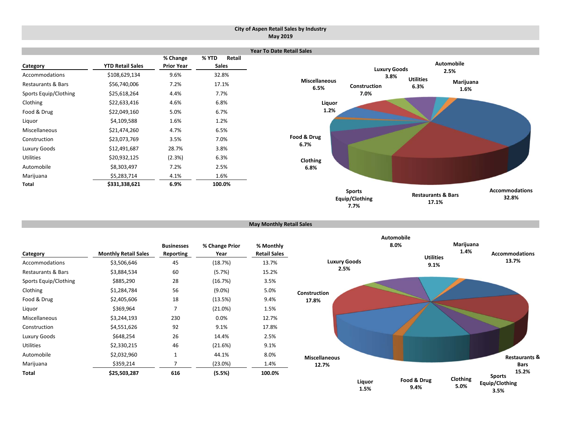### **City of Aspen Retail Sales by Industry May 2019**



```
May Monthly Retail Sales
```

|                               |                             | <b>Businesses</b> | % Change Prior | % Monthly           |
|-------------------------------|-----------------------------|-------------------|----------------|---------------------|
| Category                      | <b>Monthly Retail Sales</b> | Reporting         | Year           | <b>Retail Sales</b> |
| Accommodations                | \$3,506,646                 | 45                | (18.7%)        | 13.7%               |
| <b>Restaurants &amp; Bars</b> | \$3,884,534                 | 60                | (5.7%)         | 15.2%               |
| Sports Equip/Clothing         | \$885,290                   | 28                | (16.7%)        | 3.5%                |
| Clothing                      | \$1,284,784                 | 56                | $(9.0\%)$      | 5.0%                |
| Food & Drug                   | \$2,405,606                 | 18                | (13.5%)        | 9.4%                |
| Liquor                        | \$369,964                   | 7                 | (21.0%)        | 1.5%                |
| Miscellaneous                 | \$3,244,193                 | 230               | 0.0%           | 12.7%               |
| Construction                  | \$4,551,626                 | 92                | 9.1%           | 17.8%               |
| Luxury Goods                  | \$648,254                   | 26                | 14.4%          | 2.5%                |
| <b>Utilities</b>              | \$2,330,215                 | 46                | (21.6%)        | 9.1%                |
| Automobile                    | \$2,032,960                 | 1                 | 44.1%          | 8.0%                |
| Marijuana                     | \$359,214                   | 7                 | (23.0%)        | 1.4%                |
| Total                         | \$25,503,287                | 616               | (5.5%)         | 100.0%              |

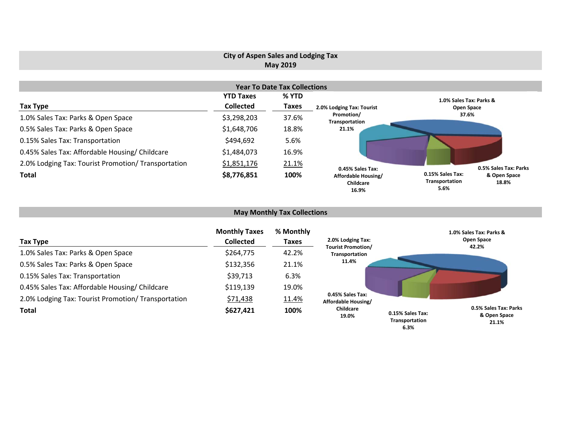# **City of Aspen Sales and Lodging Tax May 2019**

|                                                     |                  | <b>Year To Date Tax Collections</b> |                                                  |                                            |                       |
|-----------------------------------------------------|------------------|-------------------------------------|--------------------------------------------------|--------------------------------------------|-----------------------|
|                                                     | <b>YTD Taxes</b> | % YTD                               |                                                  | 1.0% Sales Tax: Parks &                    |                       |
| Tax Type                                            | <b>Collected</b> | <b>Taxes</b>                        | 2.0% Lodging Tax: Tourist                        | Open Space                                 |                       |
| 1.0% Sales Tax: Parks & Open Space                  | \$3,298,203      | 37.6%                               | Promotion/<br>Transportation                     | 37.6%                                      |                       |
| 0.5% Sales Tax: Parks & Open Space                  | \$1,648,706      | 18.8%                               | 21.1%                                            |                                            |                       |
| 0.15% Sales Tax: Transportation                     | \$494,692        | 5.6%                                |                                                  |                                            |                       |
| 0.45% Sales Tax: Affordable Housing/ Childcare      | \$1,484,073      | 16.9%                               |                                                  |                                            |                       |
| 2.0% Lodging Tax: Tourist Promotion/ Transportation | \$1,851,176      | 21.1%                               | 0.45% Sales Tax:                                 |                                            | 0.5% Sales Tax: Parks |
| <b>Total</b>                                        | \$8,776,851      | 100%                                | Affordable Housing/<br><b>Childcare</b><br>16.9% | 0.15% Sales Tax:<br>Transportation<br>5.6% | & Open Space<br>18.8% |

# **May Monthly Tax Collections**

| Tax Type                                            | <b>Monthly Taxes</b><br><b>Collected</b> | % Monthly<br>Taxes | 2.0% Lodging Tax:                           |                                            | 1.0% Sales Tax: Parks &<br>Open Space<br>42.2% |
|-----------------------------------------------------|------------------------------------------|--------------------|---------------------------------------------|--------------------------------------------|------------------------------------------------|
| 1.0% Sales Tax: Parks & Open Space                  | \$264,775                                | 42.2%              | <b>Tourist Promotion/</b><br>Transportation |                                            |                                                |
| 0.5% Sales Tax: Parks & Open Space                  | \$132,356                                | 21.1%              | 11.4%                                       |                                            |                                                |
| 0.15% Sales Tax: Transportation                     | \$39,713                                 | 6.3%               |                                             |                                            |                                                |
| 0.45% Sales Tax: Affordable Housing/ Childcare      | \$119,139                                | 19.0%              |                                             |                                            |                                                |
| 2.0% Lodging Tax: Tourist Promotion/ Transportation | \$71,438                                 | 11.4%              | 0.45% Sales Tax:<br>Affordable Housing/     |                                            |                                                |
| <b>Total</b>                                        | \$627,421                                | 100%               | Childcare<br>19.0%                          | 0.15% Sales Tax:<br>Transportation<br>6.3% | 0.5% Sales Tax: Parks<br>& Open Space<br>21.1% |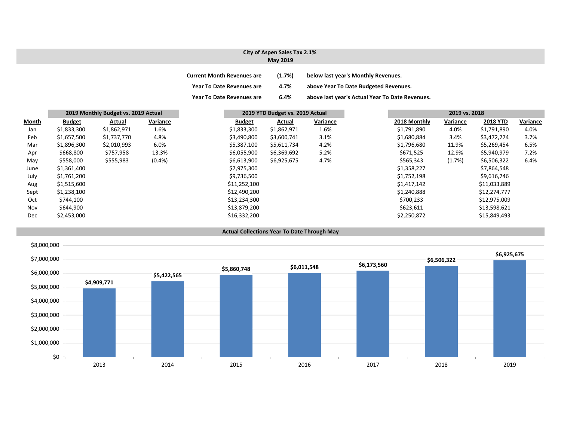## **City of Aspen Sales Tax 2.1% May 2019**

| <b>Current Month Revenues are</b> | (1.7%) | below last year's Monthly Revenues.             |
|-----------------------------------|--------|-------------------------------------------------|
| <b>Year To Date Revenues are</b>  | 4.7%   | above Year To Date Budgeted Revenues.           |
| <b>Year To Date Revenues are</b>  | 6.4%   | above last year's Actual Year To Date Revenues. |

|              | 2019 Monthly Budget vs. 2019 Actual |             | 2019 YTD Budget vs. 2019 Actual |               |             | 2019 vs. 2018 |              |          |                 |          |
|--------------|-------------------------------------|-------------|---------------------------------|---------------|-------------|---------------|--------------|----------|-----------------|----------|
| <b>Month</b> | <b>Budget</b>                       | Actual      | Variance                        | <b>Budget</b> | Actual      | Variance      | 2018 Monthly | Variance | <b>2018 YTD</b> | Variance |
| Jan          | \$1,833,300                         | \$1,862,971 | 1.6%                            | \$1,833,300   | \$1,862,971 | 1.6%          | \$1,791,890  | 4.0%     | \$1,791,890     | 4.0%     |
| Feb          | \$1,657,500                         | \$1,737,770 | 4.8%                            | \$3,490,800   | \$3,600,741 | 3.1%          | \$1,680,884  | 3.4%     | \$3,472,774     | 3.7%     |
| Mar          | \$1,896,300                         | \$2,010,993 | 6.0%                            | \$5,387,100   | \$5,611,734 | 4.2%          | \$1,796,680  | 11.9%    | \$5,269,454     | 6.5%     |
| Apr          | \$668,800                           | \$757,958   | 13.3%                           | \$6,055,900   | \$6,369,692 | 5.2%          | \$671,525    | 12.9%    | \$5,940,979     | 7.2%     |
| May          | \$558,000                           | \$555,983   | $(0.4\%)$                       | \$6,613,900   | \$6,925,675 | 4.7%          | \$565,343    | (1.7%)   | \$6,506,322     | 6.4%     |
| June         | \$1,361,400                         |             |                                 | \$7,975,300   |             |               | \$1,358,227  |          | \$7,864,548     |          |
| July         | \$1,761,200                         |             |                                 | \$9,736,500   |             |               | \$1,752,198  |          | \$9,616,746     |          |
| Aug          | \$1,515,600                         |             |                                 | \$11,252,100  |             |               | \$1,417,142  |          | \$11,033,889    |          |
| Sept         | \$1,238,100                         |             |                                 | \$12,490,200  |             |               | \$1,240,888  |          | \$12,274,777    |          |
| Oct          | \$744,100                           |             |                                 | \$13,234,300  |             |               | \$700,233    |          | \$12,975,009    |          |
| Nov          | \$644,900                           |             |                                 | \$13,879,200  |             |               | \$623,611    |          | \$13,598,621    |          |
| Dec          | \$2,453,000                         |             |                                 | \$16,332,200  |             |               | \$2,250,872  |          | \$15,849,493    |          |

### **Actual Collections Year To Date Through May**

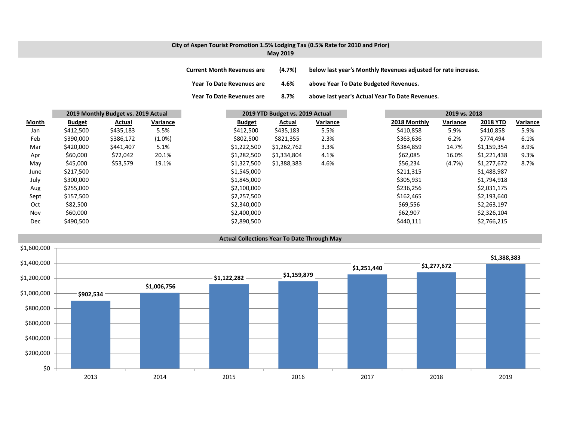# **City of Aspen Tourist Promotion 1.5% Lodging Tax (0.5% Rate for 2010 and Prior) May 2019**

| <b>Current Month Revenues are</b> | (4.7%) | below last year's Monthly Revenues adjusted for rate increase. |
|-----------------------------------|--------|----------------------------------------------------------------|
| <b>Year To Date Revenues are</b>  | 4.6%   | above Year To Date Budgeted Revenues.                          |
| Year To Date Revenues are         | 8.7%   | above last year's Actual Year To Date Revenues.                |

|              |               | 2019 Monthly Budget vs. 2019 Actual |           | 2019 YTD Budget vs. 2019 Actual |             |          | 2019 vs. 2018 |              |          |                 |          |
|--------------|---------------|-------------------------------------|-----------|---------------------------------|-------------|----------|---------------|--------------|----------|-----------------|----------|
| <b>Month</b> | <b>Budget</b> | Actual                              | Variance  | <b>Budget</b>                   | Actual      | Variance |               | 2018 Monthly | Variance | <b>2018 YTD</b> | Variance |
| Jan          | \$412,500     | \$435,183                           | 5.5%      | \$412,500                       | \$435,183   | 5.5%     |               | \$410,858    | 5.9%     | \$410,858       | 5.9%     |
| Feb          | \$390,000     | \$386,172                           | $(1.0\%)$ | \$802,500                       | \$821,355   | 2.3%     |               | \$363,636    | 6.2%     | \$774,494       | 6.1%     |
| Mar          | \$420,000     | \$441,407                           | 5.1%      | \$1,222,500                     | \$1,262,762 | 3.3%     |               | \$384,859    | 14.7%    | \$1,159,354     | 8.9%     |
| Apr          | \$60,000      | \$72,042                            | 20.1%     | \$1,282,500                     | \$1,334,804 | 4.1%     |               | \$62,085     | 16.0%    | \$1,221,438     | 9.3%     |
| May          | \$45,000      | \$53,579                            | 19.1%     | \$1,327,500                     | \$1,388,383 | 4.6%     |               | \$56,234     | (4.7%)   | \$1,277,672     | 8.7%     |
| June         | \$217,500     |                                     |           | \$1,545,000                     |             |          |               | \$211,315    |          | \$1,488,987     |          |
| July         | \$300,000     |                                     |           | \$1,845,000                     |             |          |               | \$305,931    |          | \$1,794,918     |          |
| Aug          | \$255,000     |                                     |           | \$2,100,000                     |             |          |               | \$236,256    |          | \$2,031,175     |          |
| Sept         | \$157,500     |                                     |           | \$2,257,500                     |             |          |               | \$162,465    |          | \$2,193,640     |          |
| Oct          | \$82,500      |                                     |           | \$2,340,000                     |             |          |               | \$69,556     |          | \$2,263,197     |          |
| Nov          | \$60,000      |                                     |           | \$2,400,000                     |             |          |               | \$62,907     |          | \$2,326,104     |          |
| Dec          | \$490,500     |                                     |           | \$2,890,500                     |             |          |               | \$440,111    |          | \$2,766,215     |          |

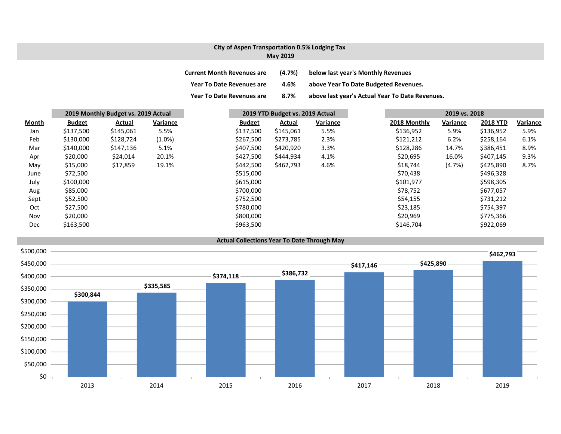# **City of Aspen Transportation 0.5% Lodging Tax May 2019**

| <b>Current Month Revenues are</b> | (4.7%) | below last year's Monthly Revenues              |
|-----------------------------------|--------|-------------------------------------------------|
| <b>Year To Date Revenues are</b>  | 4.6%   | above Year To Date Budgeted Revenues.           |
| <b>Year To Date Revenues are</b>  | 8.7%   | above last year's Actual Year To Date Revenues. |

|              | 2019 Monthly Budget vs. 2019 Actual |           | 2019 YTD Budget vs. 2019 Actual |               |           | 2019 vs. 2018 |  |              |          |                 |          |
|--------------|-------------------------------------|-----------|---------------------------------|---------------|-----------|---------------|--|--------------|----------|-----------------|----------|
| <b>Month</b> | <b>Budget</b>                       | Actual    | Variance                        | <b>Budget</b> | Actual    | Variance      |  | 2018 Monthly | Variance | <b>2018 YTD</b> | Variance |
| Jan          | \$137,500                           | \$145,061 | 5.5%                            | \$137,500     | \$145,061 | 5.5%          |  | \$136,952    | 5.9%     | \$136,952       | 5.9%     |
| Feb          | \$130,000                           | \$128,724 | $(1.0\%)$                       | \$267,500     | \$273,785 | 2.3%          |  | \$121,212    | 6.2%     | \$258,164       | 6.1%     |
| Mar          | \$140,000                           | \$147,136 | 5.1%                            | \$407,500     | \$420,920 | 3.3%          |  | \$128,286    | 14.7%    | \$386,451       | 8.9%     |
| Apr          | \$20,000                            | \$24,014  | 20.1%                           | \$427,500     | \$444,934 | 4.1%          |  | \$20,695     | 16.0%    | \$407,145       | 9.3%     |
| May          | \$15,000                            | \$17,859  | 19.1%                           | \$442,500     | \$462,793 | 4.6%          |  | \$18,744     | (4.7%)   | \$425,890       | 8.7%     |
| June         | \$72,500                            |           |                                 | \$515,000     |           |               |  | \$70,438     |          | \$496,328       |          |
| July         | \$100,000                           |           |                                 | \$615,000     |           |               |  | \$101,977    |          | \$598,305       |          |
| Aug          | \$85,000                            |           |                                 | \$700,000     |           |               |  | \$78,752     |          | \$677,057       |          |
| Sept         | \$52,500                            |           |                                 | \$752,500     |           |               |  | \$54,155     |          | \$731,212       |          |
| Oct          | \$27,500                            |           |                                 | \$780,000     |           |               |  | \$23,185     |          | \$754,397       |          |
| Nov          | \$20,000                            |           |                                 | \$800,000     |           |               |  | \$20,969     |          | \$775,366       |          |
| Dec          | \$163,500                           |           |                                 | \$963,500     |           |               |  | \$146,704    |          | \$922,069       |          |

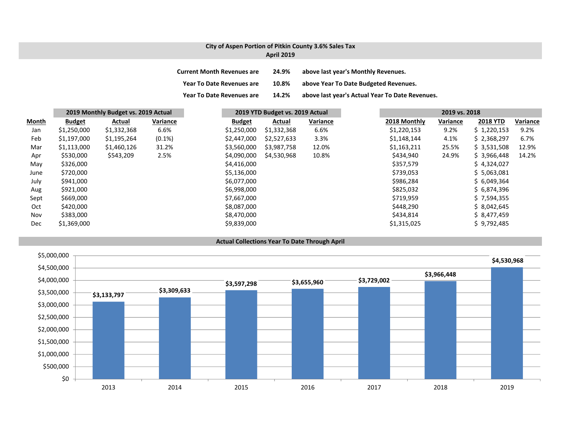# **City of Aspen Portion of Pitkin County 3.6% Sales Tax April 2019**

| <b>Current Month Revenues are</b> | 24.9% | above last year's Monthly Revenues.             |
|-----------------------------------|-------|-------------------------------------------------|
| <b>Year To Date Revenues are</b>  | 10.8% | above Year To Date Budgeted Revenues.           |
| <b>Year To Date Revenues are</b>  | 14.2% | above last year's Actual Year To Date Revenues. |

|              | 2019 Monthly Budget vs. 2019 Actual |             | 2019 YTD Budget vs. 2019 Actual |  |               | 2019 vs. 2018 |          |              |          |                 |          |
|--------------|-------------------------------------|-------------|---------------------------------|--|---------------|---------------|----------|--------------|----------|-----------------|----------|
| <b>Month</b> | <b>Budget</b>                       | Actual      | Variance                        |  | <b>Budget</b> | Actual        | Variance | 2018 Monthly | Variance | <b>2018 YTD</b> | Variance |
| Jan          | \$1,250,000                         | \$1,332,368 | 6.6%                            |  | \$1,250,000   | \$1,332,368   | 6.6%     | \$1,220,153  | 9.2%     | \$1,220,153     | 9.2%     |
| Feb          | \$1,197,000                         | \$1,195,264 | $(0.1\%)$                       |  | \$2,447,000   | \$2,527,633   | 3.3%     | \$1,148,144  | 4.1%     | \$2,368,297     | 6.7%     |
| Mar          | \$1,113,000                         | \$1,460,126 | 31.2%                           |  | \$3,560,000   | \$3,987,758   | 12.0%    | \$1,163,211  | 25.5%    | \$3,531,508     | 12.9%    |
| Apr          | \$530,000                           | \$543,209   | 2.5%                            |  | \$4,090,000   | \$4,530,968   | 10.8%    | \$434,940    | 24.9%    | \$3,966,448     | 14.2%    |
| May          | \$326,000                           |             |                                 |  | \$4,416,000   |               |          | \$357,579    |          | \$4,324,027     |          |
| June         | \$720,000                           |             |                                 |  | \$5,136,000   |               |          | \$739,053    |          | \$5,063,081     |          |
| July         | \$941,000                           |             |                                 |  | \$6,077,000   |               |          | \$986,284    |          | \$6,049,364     |          |
| Aug          | \$921,000                           |             |                                 |  | \$6,998,000   |               |          | \$825,032    |          | \$6,874,396     |          |
| Sept         | \$669,000                           |             |                                 |  | \$7,667,000   |               |          | \$719,959    |          | \$7,594,355     |          |
| Oct          | \$420,000                           |             |                                 |  | \$8,087,000   |               |          | \$448,290    |          | \$8,042,645     |          |
| Nov          | \$383,000                           |             |                                 |  | \$8,470,000   |               |          | \$434,814    |          | \$8,477,459     |          |
| Dec          | \$1,369,000                         |             |                                 |  | \$9,839,000   |               |          | \$1,315,025  |          | \$9,792,485     |          |

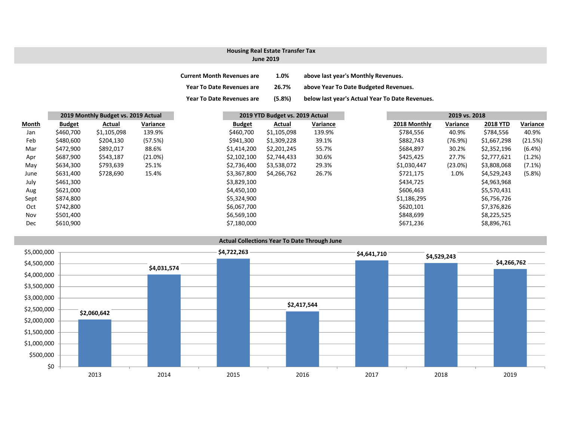## **Housing Real Estate Transfer Tax**

#### **June 2019**

| <b>Current Month Revenues are</b> | 1.0%   | above last year's Monthly Revenues.             |
|-----------------------------------|--------|-------------------------------------------------|
| Year To Date Revenues are         | 26.7%  | above Year To Date Budgeted Revenues.           |
| <b>Year To Date Revenues are</b>  | (5.8%) | below last year's Actual Year To Date Revenues. |

| Month      | 2019 Monthly Budget vs. 2019 Actual |             |          |               | 2019 YTD Budget vs. 2019 Actual |          |  | 2019 vs. 2018 |            |                 |  |
|------------|-------------------------------------|-------------|----------|---------------|---------------------------------|----------|--|---------------|------------|-----------------|--|
|            | <b>Budget</b>                       | Actual      | Variance | <b>Budget</b> | Actual                          | Variance |  | 2018 Monthly  | Variance   | <b>2018 YTD</b> |  |
| Jan        | \$460,700                           | \$1,105,098 | 139.9%   | \$460,700     | \$1,105,098                     | 139.9%   |  | \$784,556     | 40.9%      | \$784,556       |  |
| Feb        | \$480,600                           | \$204,130   | (57.5%)  | \$941,300     | \$1,309,228                     | 39.1%    |  | \$882,743     | (76.9%)    | \$1,667,298     |  |
| Mar        | \$472,900                           | \$892,017   | 88.6%    | \$1,414,200   | \$2,201,245                     | 55.7%    |  | \$684,897     | 30.2%      | \$2,352,196     |  |
| Apr        | \$687,900                           | \$543,187   | (21.0%)  | \$2,102,100   | \$2,744,433                     | 30.6%    |  | \$425,425     | 27.7%      | \$2,777,621     |  |
| May        | \$634,300                           | \$793,639   | 25.1%    | \$2,736,400   | \$3,538,072                     | 29.3%    |  | \$1,030,447   | $(23.0\%)$ | \$3,808,068     |  |
| June       | \$631,400                           | \$728,690   | 15.4%    | \$3,367,800   | \$4,266,762                     | 26.7%    |  | \$721,175     | 1.0%       | \$4,529,243     |  |
| July       | \$461,300                           |             |          | \$3,829,100   |                                 |          |  | \$434,725     |            | \$4,963,968     |  |
| Aug        | \$621,000                           |             |          | \$4,450,100   |                                 |          |  | \$606,463     |            | \$5,570,431     |  |
| Sept       | \$874,800                           |             |          | \$5,324,900   |                                 |          |  | \$1,186,295   |            | \$6,756,726     |  |
| Oct        | \$742,800                           |             |          | \$6,067,700   |                                 |          |  | \$620,101     |            | \$7,376,826     |  |
| Nov        | \$501,400                           |             |          | \$6,569,100   |                                 |          |  | \$848,699     |            | \$8,225,525     |  |
| <b>Dec</b> | \$610,900                           |             |          | \$7,180,000   |                                 |          |  | \$671,236     |            | \$8,896,761     |  |

## **Actual Collections Year To Date Through June**